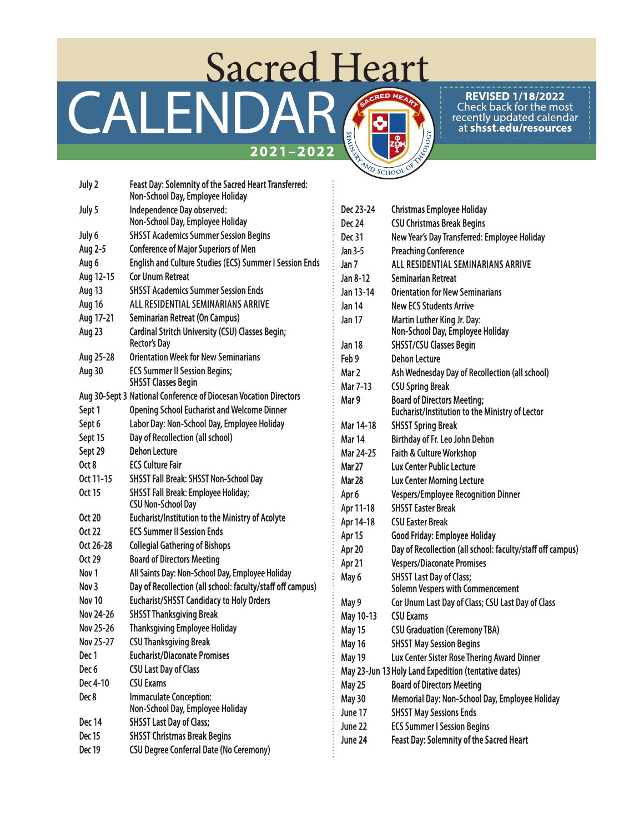## **Sacred Heart** SACRED HEAR CALENDAR  $\overline{\mathbf{c}}$ **MARITAL FOLOCY**  $z_{\mathrm{QH}}^{\mathrm{o}}$  $2021 - 2022$ AND SCHOOL

**REVISED 1/18/2022** Check back for the most ecently updated calendar<br>at **shsst.edu/resources** 

| July 2           | Feast Day: Solemnity of the Sacred Heart Transferred:<br>Non-School Day, Employee Holiday |
|------------------|-------------------------------------------------------------------------------------------|
| July 5           | Independence Day observed:<br>Non-School Day, Employee Holiday                            |
| July 6           | <b>SHSST Academics Summer Session Begins</b>                                              |
| Aug 2-5          | <b>Conference of Major Superiors of Men</b>                                               |
| Aug 6            | <b>English and Culture Studies (ECS) Summer I Session Ends</b>                            |
| Aug 12-15        | <b>Cor Unum Retreat</b>                                                                   |
| Aug 13           | <b>SHSST Academics Summer Session Ends</b>                                                |
| Aug 16           | ALL RESIDENTIAL SEMINARIANS ARRIVE                                                        |
| Aug 17-21        | Seminarian Retreat (On Campus)                                                            |
| Aug 23           | Cardinal Stritch University (CSU) Classes Begin;<br><b>Rector's Day</b>                   |
| Aug 25-28        | <b>Orientation Week for New Seminarians</b>                                               |
| Aug 30           | <b>ECS Summer II Session Begins;</b><br><b>SHSST Classes Begin</b>                        |
|                  | Aug 30-Sept 3 National Conference of Diocesan Vocation Directors                          |
| Sept 1           | <b>Opening School Eucharist and Welcome Dinner</b>                                        |
| Sept 6           | Labor Day: Non-School Day, Employee Holiday                                               |
| Sept 15          | Day of Recollection (all school)                                                          |
| Sept 29          | <b>Dehon Lecture</b>                                                                      |
| Oct <sub>8</sub> | <b>ECS Culture Fair</b>                                                                   |
| Oct 11-15        | SHSST Fall Break: SHSST Non-School Day                                                    |
| <b>Oct 15</b>    | SHSST Fall Break: Employee Holiday;<br><b>CSU Non-School Day</b>                          |
| <b>Oct 20</b>    | <b>Eucharist/Institution to the Ministry of Acolyte</b>                                   |
| 0ct 22           | <b>ECS Summer II Session Ends</b>                                                         |
| Oct 26-28        | <b>Collegial Gathering of Bishops</b>                                                     |
| Oct 29           | <b>Board of Directors Meeting</b>                                                         |
| Nov <sub>1</sub> | All Saints Day: Non-School Day, Employee Holiday                                          |
| Nov 3            | Day of Recollection (all school: faculty/staff off campus)                                |
| <b>Nov 10</b>    | <b>Eucharist/SHSST Candidacy to Holy Orders</b>                                           |
| Nov 24-26        | <b>SHSST Thanksgiving Break</b>                                                           |
| Nov 25-26        | <b>Thanksgiving Employee Holiday</b>                                                      |
| Nov 25-27        | <b>CSU Thanksgiving Break</b>                                                             |
| Dec 1            | <b>Eucharist/Diaconate Promises</b>                                                       |
| Dec 6            | <b>CSU Last Day of Class</b>                                                              |
| Dec 4-10         | <b>CSU Exams</b>                                                                          |
| Dec 8            | <b>Immaculate Conception:</b><br>Non-School Day, Employee Holiday                         |
| Dec 14           | <b>SHSST Last Day of Class;</b>                                                           |
| <b>Dec 15</b>    | <b>SHSST Christmas Break Begins</b>                                                       |
| Dec 19           | <b>CSU Degree Conferral Date (No Ceremony)</b>                                            |

| Dec 23-24     | <b>Christmas Employee Holiday</b>                                                     |
|---------------|---------------------------------------------------------------------------------------|
| <b>Dec 24</b> | <b>CSU Christmas Break Begins</b>                                                     |
| <b>Dec 31</b> | New Year's Day Transferred: Employee Holiday                                          |
| Jan 3-5       | <b>Preaching Conference</b>                                                           |
| Jan 7         | ALL RESIDENTIAL SEMINARIANS ARRIVE                                                    |
| Jan 8-12      | <b>Seminarian Retreat</b>                                                             |
| Jan 13-14     | <b>Orientation for New Seminarians</b>                                                |
| <b>Jan 14</b> | <b>New ECS Students Arrive</b>                                                        |
| Jan 17        | Martin Luther King Jr. Day:<br>Non-School Day, Employee Holiday                       |
| Jan 18        | <b>SHSST/CSU Classes Begin</b>                                                        |
| Feb 9         | <b>Dehon Lecture</b>                                                                  |
| Mar 2         | Ash Wednesday Day of Recollection (all school)                                        |
| Mar 7-13      | <b>CSU Spring Break</b>                                                               |
| Mar 9         | <b>Board of Directors Meeting;</b><br>Eucharist/Institution to the Ministry of Lector |
| Mar 14-18     | <b>SHSST Spring Break</b>                                                             |
| Mar 14        | Birthday of Fr. Leo John Dehon                                                        |
| Mar 24-25     | <b>Faith &amp; Culture Workshop</b>                                                   |
| <b>Mar 27</b> | <b>Lux Center Public Lecture</b>                                                      |
| <b>Mar 28</b> | <b>Lux Center Morning Lecture</b>                                                     |
| Apr 6         | <b>Vespers/Employee Recognition Dinner</b>                                            |
| Apr 11-18     | <b>SHSST Easter Break</b>                                                             |
| Apr 14-18     | <b>CSU Easter Break</b>                                                               |
| Apr 15        | Good Friday: Employee Holiday                                                         |
| Apr 20        | Day of Recollection (all school: faculty/staff off campus)                            |
| Apr 21        | <b>Vespers/Diaconate Promises</b>                                                     |
| May 6         | SHSST Last Day of Class;                                                              |
|               | Solemn Vespers with Commencement                                                      |
| May 9         | Cor Unum Last Day of Class; CSU Last Day of Class                                     |
| May 10-13     | <b>CSU Exams</b>                                                                      |
| May 15        | <b>CSU Graduation (Ceremony TBA)</b>                                                  |
| May 16        | <b>SHSST May Session Begins</b>                                                       |
| May 19        | Lux Center Sister Rose Thering Award Dinner                                           |
|               | May 23-Jun 13 Holy Land Expedition (tentative dates)                                  |
| <b>May 25</b> | <b>Board of Directors Meeting</b>                                                     |
| May 30        | Memorial Day: Non-School Day, Employee Holiday                                        |
| June 17       | <b>SHSST May Sessions Ends</b>                                                        |
| June 22       | <b>ECS Summer I Session Begins</b>                                                    |
| June 24       | Feast Day: Solemnity of the Sacred Heart                                              |
|               |                                                                                       |

 $\frac{1}{2}$